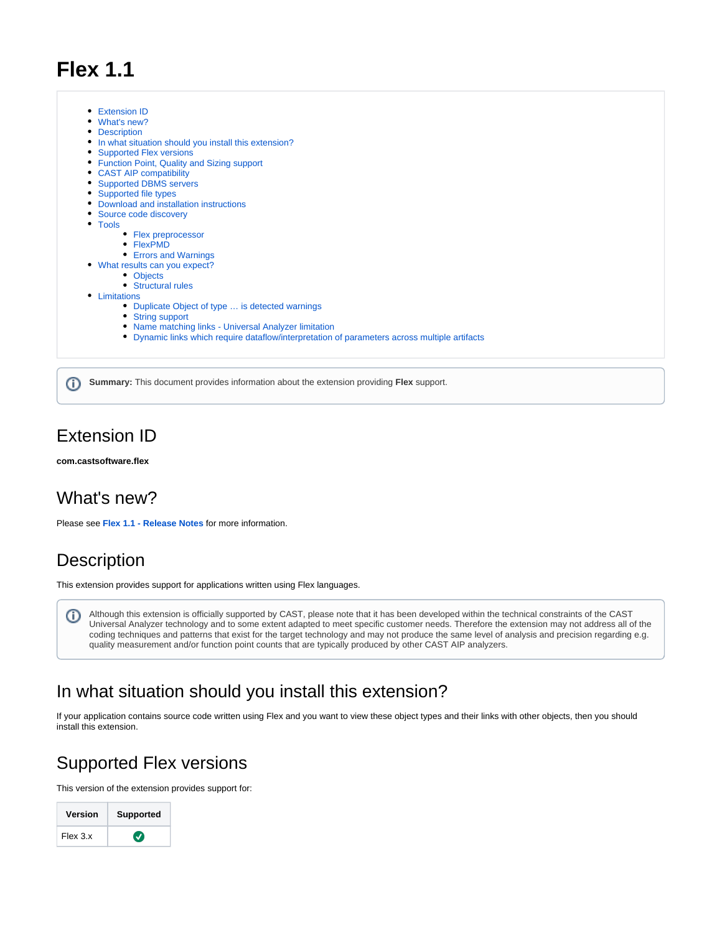# **Flex 1.1**

[Extension ID](#page-0-0) [What's new?](#page-0-1) • [Description](#page-0-2) • [In what situation should you install this extension?](#page-0-3) • [Supported Flex versions](#page-0-4) • [Function Point, Quality and Sizing support](#page-1-0) [CAST AIP compatibility](#page-2-0) [Supported DBMS servers](#page-2-1) • [Supported file types](#page-2-2) [Download and installation instructions](#page-2-3) • [Source code discovery](#page-2-4) • [Tools](#page-2-5) • [Flex preprocessor](#page-2-6) • [FlexPMD](#page-2-7) [Errors and Warnings](#page-3-0) [What results can you expect?](#page-3-1) • [Objects](#page-3-2) [Structural rules](#page-3-3) • [Limitations](#page-4-0) [Duplicate Object of type … is detected warnings](#page-4-1) • [String support](#page-4-2) [Name matching links - Universal Analyzer limitation](#page-4-3) [Dynamic links which require dataflow/interpretation of parameters across multiple artifacts](#page-4-4)

**Summary:** This document provides information about the extension providing **Flex** support.

### <span id="page-0-0"></span>Extension ID

ത

**com.castsoftware.flex**

### <span id="page-0-1"></span>What's new?

Please see **[Flex 1.1 - Release Notes](https://doc.castsoftware.com/display/TECHNOS/Flex+1.1+-+Release+Notes)** for more information.

### <span id="page-0-2"></span>**Description**

This extension provides support for applications written using Flex languages.

Although this extension is officially supported by CAST, please note that it has been developed within the technical constraints of the CAST O Universal Analyzer technology and to some extent adapted to meet specific customer needs. Therefore the extension may not address all of the coding techniques and patterns that exist for the target technology and may not produce the same level of analysis and precision regarding e.g. quality measurement and/or function point counts that are typically produced by other CAST AIP analyzers.

### <span id="page-0-3"></span>In what situation should you install this extension?

If your application contains source code written using Flex and you want to view these object types and their links with other objects, then you should install this extension.

## <span id="page-0-4"></span>Supported Flex versions

This version of the extension provides support for:

| Version  | <b>Supported</b> |
|----------|------------------|
| Flex 3.x | V)               |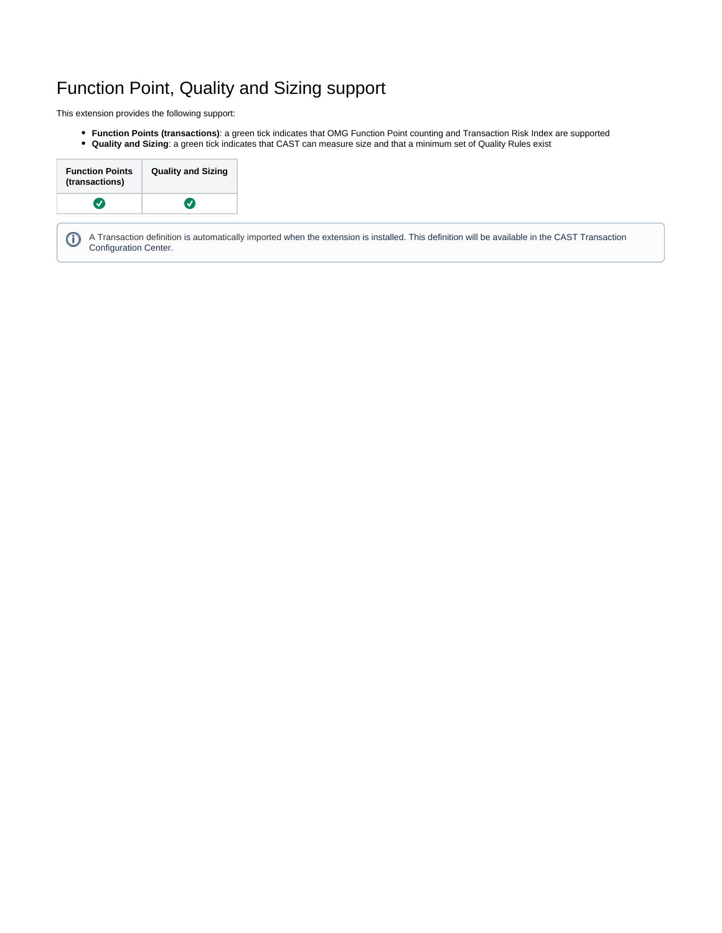# <span id="page-1-0"></span>Function Point, Quality and Sizing support

This extension provides the following support:

- **Function Points (transactions)**: a green tick indicates that OMG Function Point counting and Transaction Risk Index are supported
- **Quality and Sizing**: a green tick indicates that CAST can measure size and that a minimum set of Quality Rules exist

| <b>Quality and Sizing</b> |
|---------------------------|
|                           |
|                           |

A Transaction definition is automatically imported when the extension is installed. This definition will be available in the CAST Transaction ⊕ Configuration Center.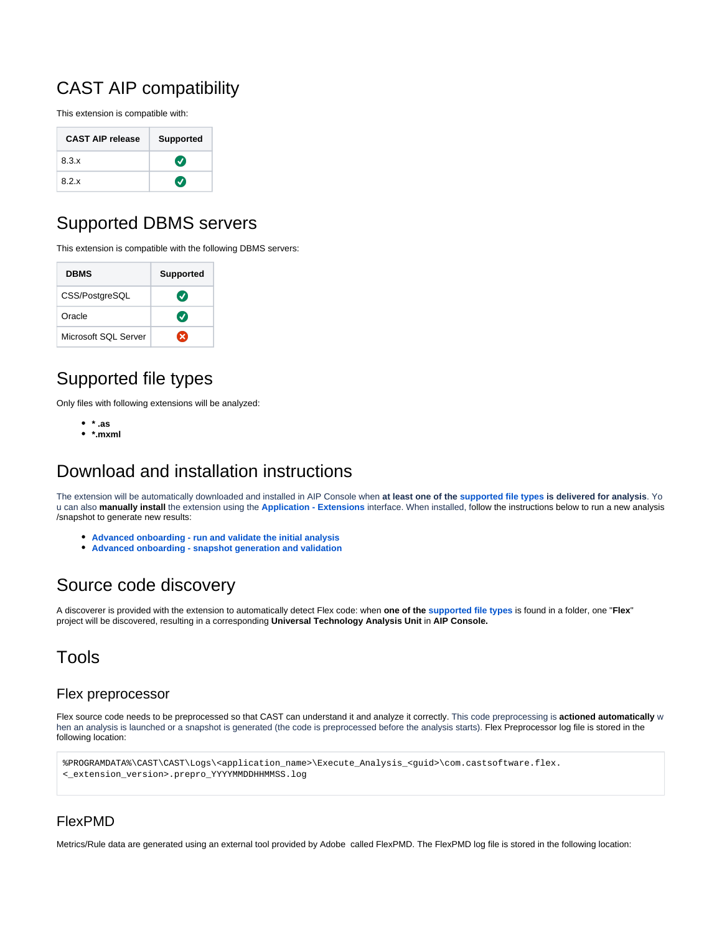# <span id="page-2-0"></span>CAST AIP compatibility

This extension is compatible with:

| <b>CAST AIP release</b> | <b>Supported</b>           |
|-------------------------|----------------------------|
| 8.3.x                   | $\left( \mathbf{v}\right)$ |
| 8.2.x                   | ✓                          |

# <span id="page-2-1"></span>Supported DBMS servers

This extension is compatible with the following DBMS servers:

| <b>DBMS</b>          | <b>Supported</b> |
|----------------------|------------------|
| CSS/PostgreSQL       | $\boldsymbol{J}$ |
| Oracle               | $\boldsymbol{J}$ |
| Microsoft SQL Server | ×                |

# <span id="page-2-2"></span>Supported file types

Only files with following extensions will be analyzed:

- **\* .as**
- **\*.mxml**

# <span id="page-2-3"></span>Download and installation instructions

The extension will be automatically downloaded and installed in AIP Console when **at least one of the supported file types is delivered for analysis**. Yo u can also **manually install** the extension using the **[Application - Extensions](https://doc.castsoftware.com/display/AIPCONSOLE/Application+-+Extensions)** interface. When installed, follow the instructions below to run a new analysis /snapshot to generate new results:

- **[Advanced onboarding run and validate the initial analysis](https://doc.castsoftware.com/display/DASHBOARDS/Advanced+onboarding+-+run+and+validate+the+initial+analysis)**
- **[Advanced onboarding snapshot generation and validation](https://doc.castsoftware.com/display/DASHBOARDS/Advanced+onboarding+-+snapshot+generation+and+validation)**

### <span id="page-2-4"></span>Source code discovery

A discoverer is provided with the extension to automatically detect Flex code: when **one of the supported file types** is found in a folder, one "**Flex**" project will be discovered, resulting in a corresponding **Universal Technology Analysis Unit** in **AIP Console.**

### <span id="page-2-5"></span>Tools

### <span id="page-2-6"></span>Flex preprocessor

Flex source code needs to be preprocessed so that CAST can understand it and analyze it correctly. This code preprocessing is **actioned automatically** w hen an analysis is launched or a snapshot is generated (the code is preprocessed before the analysis starts). Flex Preprocessor log file is stored in the following location:

```
%PROGRAMDATA%\CAST\CAST\Logs\<application_name>\Execute_Analysis_<guid>\com.castsoftware.flex.
<_extension_version>.prepro_YYYYMMDDHHMMSS.log
```
### <span id="page-2-7"></span>FlexPMD

Metrics/Rule data are generated using an external tool provided by Adobe called FlexPMD. The FlexPMD log file is stored in the following location: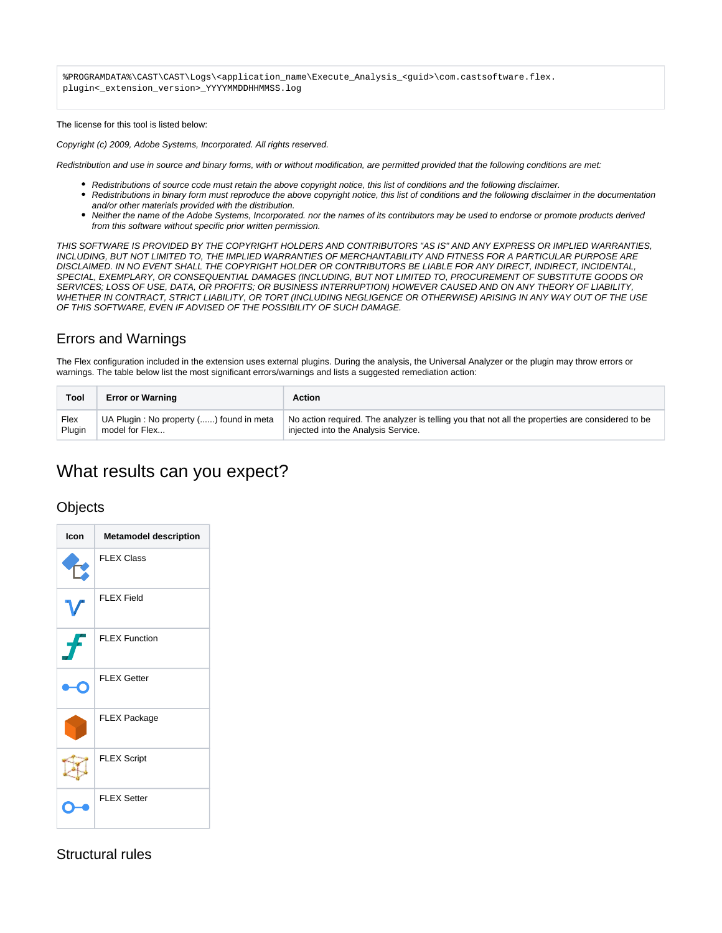%PROGRAMDATA%\CAST\CAST\Logs\<application\_name\Execute\_Analysis\_<guid>\com.castsoftware.flex. plugin<\_extension\_version>\_YYYYMMDDHHMMSS.log

#### The license for this tool is listed below:

Copyright (c) 2009, Adobe Systems, Incorporated. All rights reserved.

Redistribution and use in source and binary forms, with or without modification, are permitted provided that the following conditions are met:

- Redistributions of source code must retain the above copyright notice, this list of conditions and the following disclaimer.
- Redistributions in binary form must reproduce the above copyright notice, this list of conditions and the following disclaimer in the documentation and/or other materials provided with the distribution.
- Neither the name of the Adobe Systems, Incorporated. nor the names of its contributors may be used to endorse or promote products derived from this software without specific prior written permission.

THIS SOFTWARE IS PROVIDED BY THE COPYRIGHT HOLDERS AND CONTRIBUTORS "AS IS" AND ANY EXPRESS OR IMPLIED WARRANTIES, INCLUDING, BUT NOT LIMITED TO, THE IMPLIED WARRANTIES OF MERCHANTABILITY AND FITNESS FOR A PARTICULAR PURPOSE ARE DISCLAIMED. IN NO EVENT SHALL THE COPYRIGHT HOLDER OR CONTRIBUTORS BE LIABLE FOR ANY DIRECT, INDIRECT, INCIDENTAL, SPECIAL, EXEMPLARY, OR CONSEQUENTIAL DAMAGES (INCLUDING, BUT NOT LIMITED TO, PROCUREMENT OF SUBSTITUTE GOODS OR SERVICES; LOSS OF USE, DATA, OR PROFITS; OR BUSINESS INTERRUPTION) HOWEVER CAUSED AND ON ANY THEORY OF LIABILITY, WHETHER IN CONTRACT, STRICT LIABILITY, OR TORT (INCLUDING NEGLIGENCE OR OTHERWISE) ARISING IN ANY WAY OUT OF THE USE OF THIS SOFTWARE, EVEN IF ADVISED OF THE POSSIBILITY OF SUCH DAMAGE.

### <span id="page-3-0"></span>Errors and Warnings

The Flex configuration included in the extension uses external plugins. During the analysis, the Universal Analyzer or the plugin may throw errors or warnings. The table below list the most significant errors/warnings and lists a suggested remediation action:

| Tool   | <b>Error or Warning</b>                 | Action                                                                                           |
|--------|-----------------------------------------|--------------------------------------------------------------------------------------------------|
| Flex   | UA Plugin: No property () found in meta | No action required. The analyzer is telling you that not all the properties are considered to be |
| Plugin | model for Flex                          | injected into the Analysis Service.                                                              |

## <span id="page-3-1"></span>What results can you expect?

### <span id="page-3-2"></span>**Objects**

| Icon | <b>Metamodel description</b> |
|------|------------------------------|
|      | <b>FLEX Class</b>            |
|      | <b>FLEX Field</b>            |
|      | <b>FLEX Function</b>         |
|      | <b>FLEX Getter</b>           |
|      | <b>FLEX Package</b>          |
|      | <b>FLEX Script</b>           |
|      | <b>FLEX Setter</b>           |

### <span id="page-3-3"></span>Structural rules